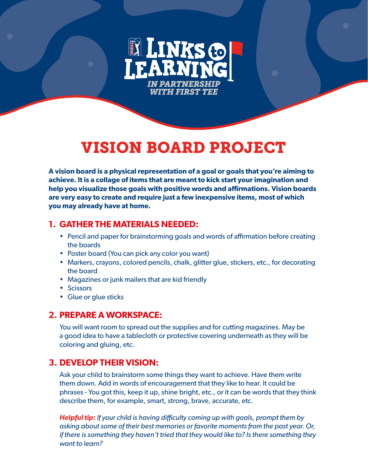

# VISION BOARD PROJECT

**A vision board is a physical representation of a goal or goals that you're aiming to achieve. It is a collage of items that are meant to kick start your imagination and help you visualize those goals with positive words and affirmations. Vision boards are very easy to create and require just a few inexpensive items, most of which you may already have at home.**

## **1. GATHER THE MATERIALS NEEDED:**

- Pencil and paper for brainstorming goals and words of affirmation before creating the boards
- Poster board (You can pick any color you want)
- Markers, crayons, colored pencils, chalk, glitter glue, stickers, etc., for decorating the board
- Magazines or junk mailers that are kid friendly
- Scissors
- Glue or glue sticks

#### **2. PREPARE A WORKSPACE:**

You will want room to spread out the supplies and for cutting magazines. May be a good idea to have a tablecloth or protective covering underneath as they will be coloring and gluing, etc.

# **3. DEVELOP THEIR VISION:**

Ask your child to brainstorm some things they want to achieve. Have them write them down. Add in words of encouragement that they like to hear. It could be phrases - You got this, keep it up, shine bright, etc., or it can be words that they think describe them, for example, smart, strong, brave, accurate, etc.

*Helpful tip: If your child is having difficulty coming up with goals, prompt them by asking about some of their best memories or favorite moments from the past year. Or, if there is something they haven't tried that they would like to? Is there something they want to learn?*